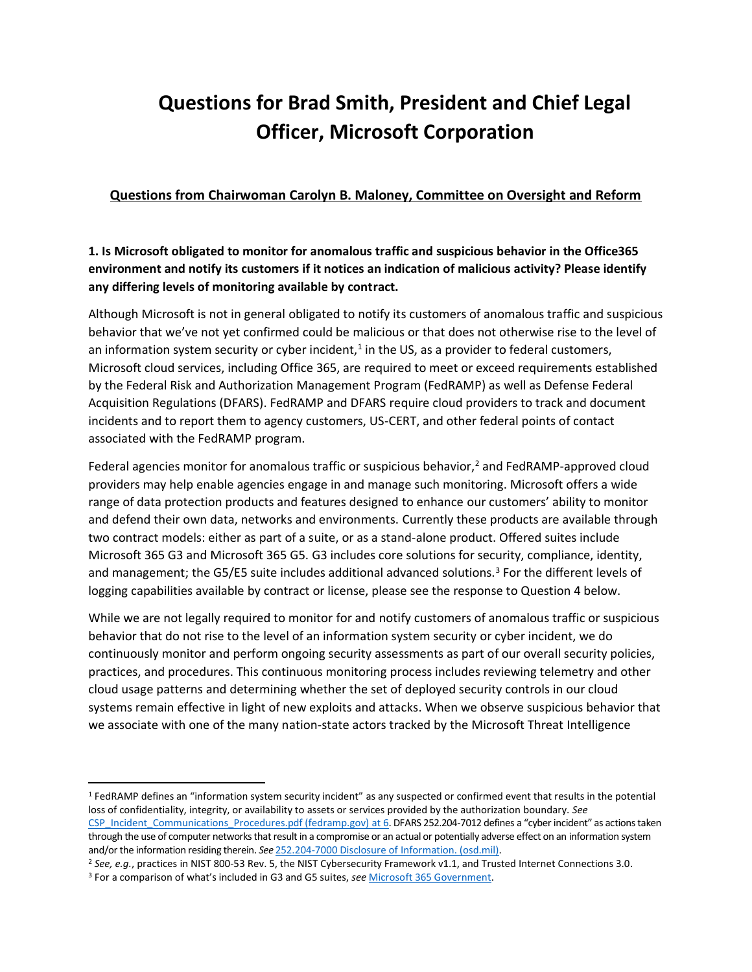# **Questions for Brad Smith, President and Chief Legal Officer, Microsoft Corporation**

## **Questions from Chairwoman Carolyn B. Maloney, Committee on Oversight and Reform**

## **1. Is Microsoft obligated to monitor for anomalous traffic and suspicious behavior in the Office365 environment and notify its customers if it notices an indication of malicious activity? Please identify any differing levels of monitoring available by contract.**

Although Microsoft is not in general obligated to notify its customers of anomalous traffic and suspicious behavior that we've not yet confirmed could be malicious or that does not otherwise rise to the level of an information system security or cyber incident,<sup>1</sup> in the US, as a provider to federal customers, Microsoft cloud services, including Office 365, are required to meet or exceed requirements established by the Federal Risk and Authorization Management Program (FedRAMP) as well as Defense Federal Acquisition Regulations (DFARS). FedRAMP and DFARS require cloud providers to track and document incidents and to report them to agency customers, US-CERT, and other federal points of contact associated with the FedRAMP program.

Federal agencies monitor for anomalous traffic or suspicious behavior,<sup>2</sup> and FedRAMP-approved cloud providers may help enable agencies engage in and manage such monitoring. Microsoft offers a wide range of data protection products and features designed to enhance our customers' ability to monitor and defend their own data, networks and environments. Currently these products are available through two contract models: either as part of a suite, or as a stand-alone product. Offered suites include Microsoft 365 G3 and Microsoft 365 G5. G3 includes core solutions for security, compliance, identity, and management; the G5/E5 suite includes additional advanced solutions.<sup>3</sup> For the different levels of logging capabilities available by contract or license, please see the response to Question 4 below.

While we are not legally required to monitor for and notify customers of anomalous traffic or suspicious behavior that do not rise to the level of an information system security or cyber incident, we do continuously monitor and perform ongoing security assessments as part of our overall security policies, practices, and procedures. This continuous monitoring process includes reviewing telemetry and other cloud usage patterns and determining whether the set of deployed security controls in our cloud systems remain effective in light of new exploits and attacks. When we observe suspicious behavior that we associate with one of the many nation-state actors tracked by the Microsoft Threat Intelligence

<sup>1</sup> FedRAMP defines an "information system security incident" as any suspected or confirmed event that results in the potential loss of confidentiality, integrity, or availability to assets or services provided by the authorization boundary. *See* [CSP\\_Incident\\_Communications\\_Procedures.pdf \(fedramp.gov\)](https://www.fedramp.gov/assets/resources/documents/CSP_Incident_Communications_Procedures.pdf) at 6. DFARS 252.204-7012 defines a "cyber incident" as actions taken through the use of computer networks that result in a compromise or an actual or potentially adverse effect on an information system and/or the information residing therein. *See* [252.204-7000 Disclosure of Information. \(osd.mil\).](https://www.acq.osd.mil/dpap/dars/dfars/html/current/252204.htm#252.204-7012)

<sup>2</sup> *See, e.g.*, practices in NIST 800-53 Rev. 5, the NIST Cybersecurity Framework v1.1, and Trusted Internet Connections 3.0.

<sup>3</sup> For a comparison of what's included in G3 and G5 suites, *see* [Microsoft 365 Government.](https://www.microsoft.com/en-US/microsoft-365/government)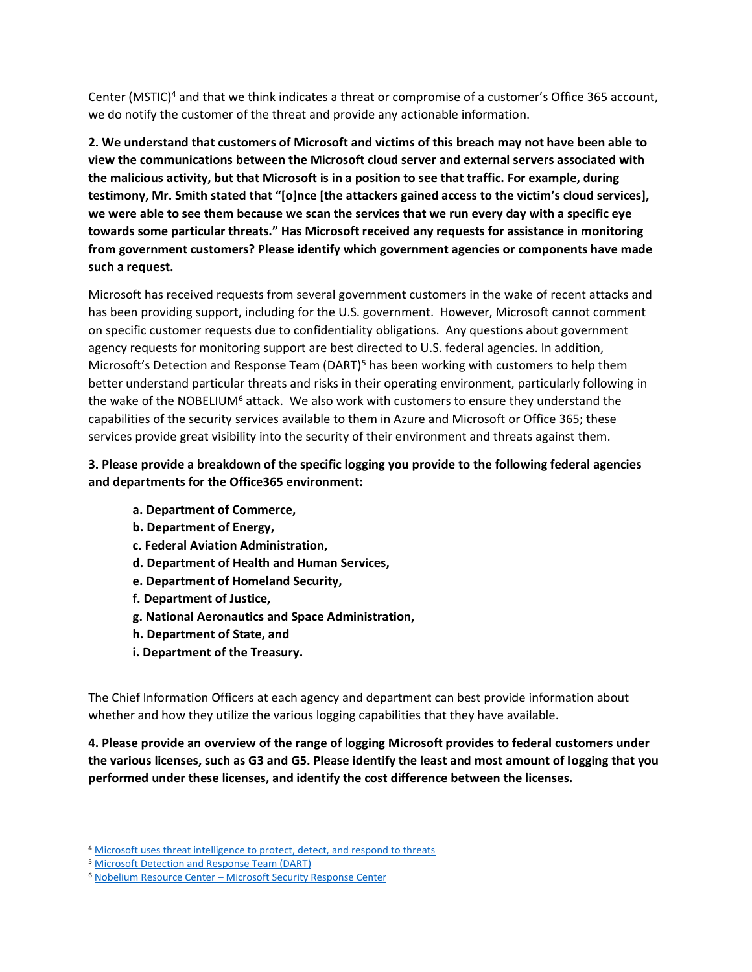Center (MSTIC)<sup>4</sup> and that we think indicates a threat or compromise of a customer's Office 365 account, we do notify the customer of the threat and provide any actionable information.

**2. We understand that customers of Microsoft and victims of this breach may not have been able to view the communications between the Microsoft cloud server and external servers associated with the malicious activity, but that Microsoft is in a position to see that traffic. For example, during testimony, Mr. Smith stated that "[o]nce [the attackers gained access to the victim's cloud services], we were able to see them because we scan the services that we run every day with a specific eye towards some particular threats." Has Microsoft received any requests for assistance in monitoring from government customers? Please identify which government agencies or components have made such a request.** 

Microsoft has received requests from several government customers in the wake of recent attacks and has been providing support, including for the U.S. government. However, Microsoft cannot comment on specific customer requests due to confidentiality obligations. Any questions about government agency requests for monitoring support are best directed to U.S. federal agencies. In addition, Microsoft's Detection and Response Team (DART)<sup>5</sup> has been working with customers to help them better understand particular threats and risks in their operating environment, particularly following in the wake of the NOBELIUM<sup>6</sup> attack. We also work with customers to ensure they understand the capabilities of the security services available to them in Azure and Microsoft or Office 365; these services provide great visibility into the security of their environment and threats against them.

## **3. Please provide a breakdown of the specific logging you provide to the following federal agencies and departments for the Office365 environment:**

- **a. Department of Commerce,**
- **b. Department of Energy,**
- **c. Federal Aviation Administration,**
- **d. Department of Health and Human Services,**
- **e. Department of Homeland Security,**
- **f. Department of Justice,**
- **g. National Aeronautics and Space Administration,**
- **h. Department of State, and**
- **i. Department of the Treasury.**

The Chief Information Officers at each agency and department can best provide information about whether and how they utilize the various logging capabilities that they have available.

**4. Please provide an overview of the range of logging Microsoft provides to federal customers under the various licenses, such as G3 and G5. Please identify the least and most amount of logging that you performed under these licenses, and identify the cost difference between the licenses.** 

<sup>&</sup>lt;sup>4</sup> [Microsoft uses threat intelligence to protect, detect, and respond to threats](https://www.microsoft.com/en-us/itshowcase/microsoft-uses-threat-intelligence-to-protect-detect-and-respond-to-threats)

<sup>5</sup> [Microsoft Detection and Response Team \(DART\)](https://www.microsoft.com/security/blog/microsoft-detection-and-response-team-dart-blog-series/)

<sup>6</sup> Nobelium Resource Center – [Microsoft Security Response Center](https://msrc-blog.microsoft.com/2020/12/21/december-21st-2020-solorigate-resource-center/)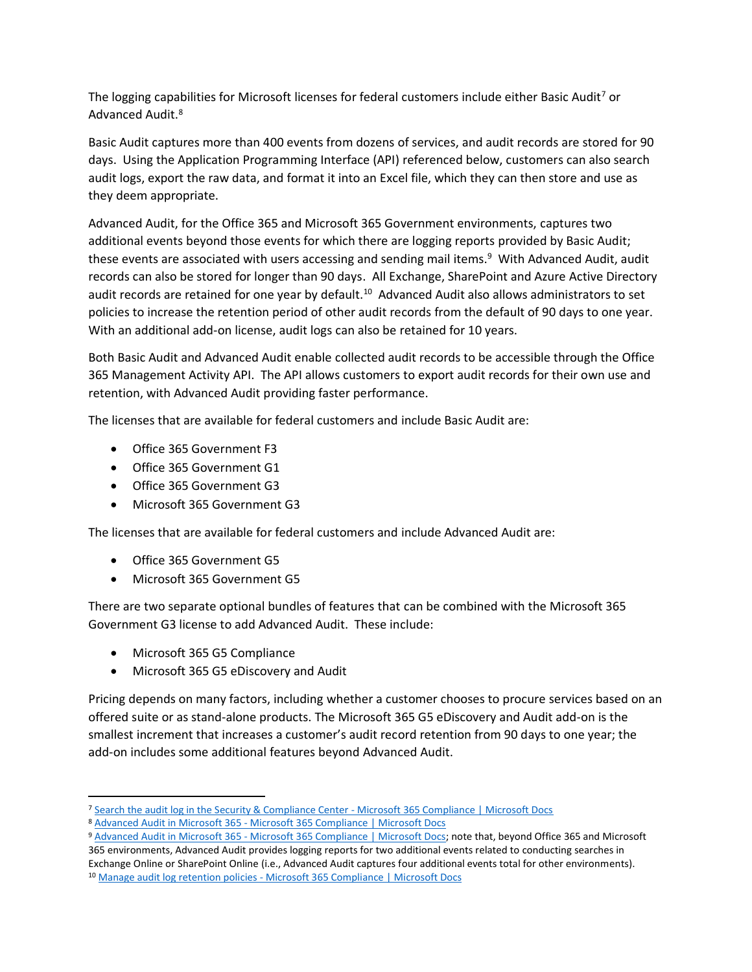The logging capabilities for Microsoft licenses for federal customers include either Basic Audit<sup>7</sup> or Advanced Audit.<sup>8</sup>

Basic Audit captures more than 400 events from dozens of services, and audit records are stored for 90 days. Using the Application Programming Interface (API) referenced below, customers can also search audit logs, export the raw data, and format it into an Excel file, which they can then store and use as they deem appropriate.

Advanced Audit, for the Office 365 and Microsoft 365 Government environments, captures two additional events beyond those events for which there are logging reports provided by Basic Audit; these events are associated with users accessing and sending mail items. <sup>9</sup> With Advanced Audit, audit records can also be stored for longer than 90 days. All Exchange, SharePoint and Azure Active Directory audit records are retained for one year by default.<sup>10</sup> Advanced Audit also allows administrators to set policies to increase the retention period of other audit records from the default of 90 days to one year. With an additional add-on license, audit logs can also be retained for 10 years.

Both Basic Audit and Advanced Audit enable collected audit records to be accessible through the Office 365 Management Activity API. The API allows customers to export audit records for their own use and retention, with Advanced Audit providing faster performance.

The licenses that are available for federal customers and include Basic Audit are:

- Office 365 Government F3
- Office 365 Government G1
- Office 365 Government G3
- Microsoft 365 Government G3

The licenses that are available for federal customers and include Advanced Audit are:

- Office 365 Government G5
- Microsoft 365 Government G5

There are two separate optional bundles of features that can be combined with the Microsoft 365 Government G3 license to add Advanced Audit. These include:

- Microsoft 365 G5 Compliance
- Microsoft 365 G5 eDiscovery and Audit

Pricing depends on many factors, including whether a customer chooses to procure services based on an offered suite or as stand-alone products. The Microsoft 365 G5 eDiscovery and Audit add-on is the smallest increment that increases a customer's audit record retention from 90 days to one year; the add-on includes some additional features beyond Advanced Audit.

<sup>7</sup> [Search the audit log in the Security & Compliance Center -](https://docs.microsoft.com/en-us/microsoft-365/compliance/search-the-audit-log-in-security-and-compliance?view=o365-worldwide) Microsoft 365 Compliance | Microsoft Docs

<sup>8</sup> Advanced Audit in Microsoft 365 - [Microsoft 365 Compliance | Microsoft Docs](https://docs.microsoft.com/en-us/microsoft-365/compliance/advanced-audit?view=o365-worldwide)

<sup>9</sup> Advanced Audit in Microsoft 365 - [Microsoft 365 Compliance | Microsoft Docs;](https://docs.microsoft.com/en-us/microsoft-365/compliance/advanced-audit?view=o365-worldwide#:~:text=%20Advanced%20Audit%20in%20Microsoft%20365%20%201,Activity%20API.%20Organizations%20that%20access%20auditing...%20More) note that, beyond Office 365 and Microsoft 365 environments, Advanced Audit provides logging reports for two additional events related to conducting searches in

Exchange Online or SharePoint Online (i.e., Advanced Audit captures four additional events total for other environments). <sup>10</sup> Manage audit log retention policies - [Microsoft 365 Compliance | Microsoft Docs](https://docs.microsoft.com/en-us/microsoft-365/compliance/audit-log-retention-policies?view=o365-worldwide#more-information)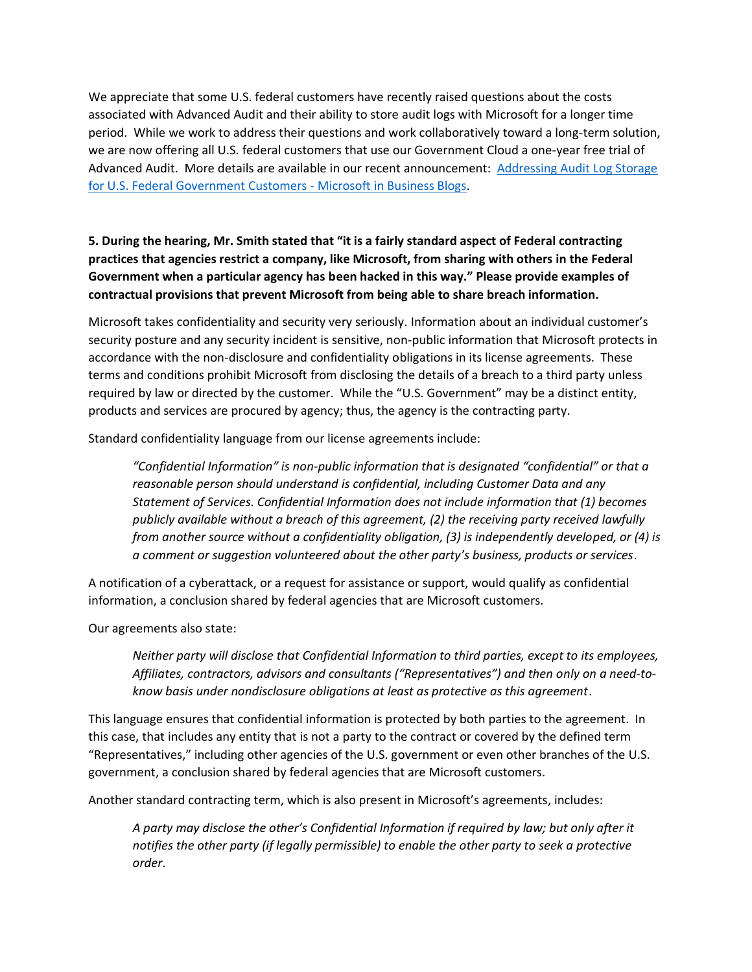We appreciate that some U.S. federal customers have recently raised questions about the costs associated with Advanced Audit and their ability to store audit logs with Microsoft for a longer time period. While we work to address their questions and work collaboratively toward a long-term solution, we are now offering all U.S. federal customers that use our Government Cloud a one-year free trial of Advanced Audit. More details are available in our recent announcement: [Addressing Audit Log Storage](https://cloudblogs.microsoft.com/industry-blog/microsoft-in-business/government/2021/04/14/addressing-audit-log-storage-for-u-s-federal-government-customers/)  [for U.S. Federal Government Customers -](https://cloudblogs.microsoft.com/industry-blog/microsoft-in-business/government/2021/04/14/addressing-audit-log-storage-for-u-s-federal-government-customers/) Microsoft in Business Blogs.

## **5. During the hearing, Mr. Smith stated that "it is a fairly standard aspect of Federal contracting practices that agencies restrict a company, like Microsoft, from sharing with others in the Federal Government when a particular agency has been hacked in this way." Please provide examples of contractual provisions that prevent Microsoft from being able to share breach information.**

Microsoft takes confidentiality and security very seriously. Information about an individual customer's security posture and any security incident is sensitive, non-public information that Microsoft protects in accordance with the non-disclosure and confidentiality obligations in its license agreements. These terms and conditions prohibit Microsoft from disclosing the details of a breach to a third party unless required by law or directed by the customer. While the "U.S. Government" may be a distinct entity, products and services are procured by agency; thus, the agency is the contracting party.

Standard confidentiality language from our license agreements include:

*"Confidential Information" is non-public information that is designated "confidential" or that a reasonable person should understand is confidential, including Customer Data and any Statement of Services. Confidential Information does not include information that (1) becomes publicly available without a breach of this agreement, (2) the receiving party received lawfully from another source without a confidentiality obligation, (3) is independently developed, or (4) is a comment or suggestion volunteered about the other party's business, products or services*.

A notification of a cyberattack, or a request for assistance or support, would qualify as confidential information, a conclusion shared by federal agencies that are Microsoft customers.

Our agreements also state:

*Neither party will disclose that Confidential Information to third parties, except to its employees, Affiliates, contractors, advisors and consultants ("Representatives") and then only on a need-toknow basis under nondisclosure obligations at least as protective as this agreement*.

This language ensures that confidential information is protected by both parties to the agreement. In this case, that includes any entity that is not a party to the contract or covered by the defined term "Representatives," including other agencies of the U.S. government or even other branches of the U.S. government, a conclusion shared by federal agencies that are Microsoft customers.

Another standard contracting term, which is also present in Microsoft's agreements, includes:

*A party may disclose the other's Confidential Information if required by law; but only after it notifies the other party (if legally permissible) to enable the other party to seek a protective order*.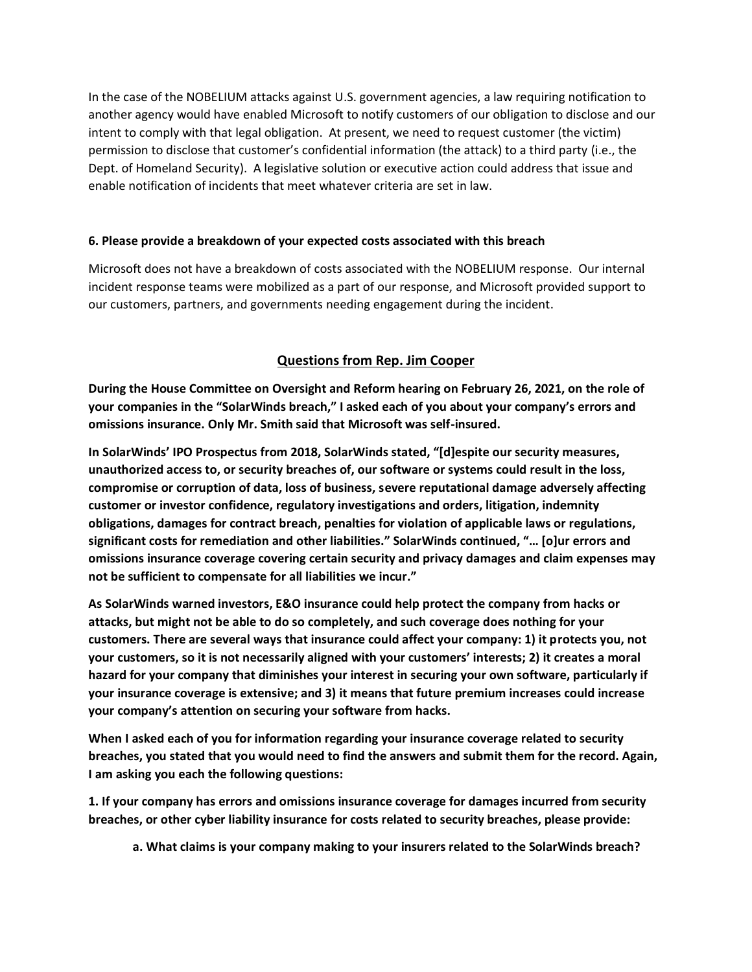In the case of the NOBELIUM attacks against U.S. government agencies, a law requiring notification to another agency would have enabled Microsoft to notify customers of our obligation to disclose and our intent to comply with that legal obligation. At present, we need to request customer (the victim) permission to disclose that customer's confidential information (the attack) to a third party (i.e., the Dept. of Homeland Security). A legislative solution or executive action could address that issue and enable notification of incidents that meet whatever criteria are set in law.

#### **6. Please provide a breakdown of your expected costs associated with this breach**

Microsoft does not have a breakdown of costs associated with the NOBELIUM response. Our internal incident response teams were mobilized as a part of our response, and Microsoft provided support to our customers, partners, and governments needing engagement during the incident.

## **Questions from Rep. Jim Cooper**

**During the House Committee on Oversight and Reform hearing on February 26, 2021, on the role of your companies in the "SolarWinds breach," I asked each of you about your company's errors and omissions insurance. Only Mr. Smith said that Microsoft was self-insured.** 

**In SolarWinds' IPO Prospectus from 2018, SolarWinds stated, "[d]espite our security measures, unauthorized access to, or security breaches of, our software or systems could result in the loss, compromise or corruption of data, loss of business, severe reputational damage adversely affecting customer or investor confidence, regulatory investigations and orders, litigation, indemnity obligations, damages for contract breach, penalties for violation of applicable laws or regulations, significant costs for remediation and other liabilities." SolarWinds continued, "… [o]ur errors and omissions insurance coverage covering certain security and privacy damages and claim expenses may not be sufficient to compensate for all liabilities we incur."** 

**As SolarWinds warned investors, E&O insurance could help protect the company from hacks or attacks, but might not be able to do so completely, and such coverage does nothing for your customers. There are several ways that insurance could affect your company: 1) it protects you, not your customers, so it is not necessarily aligned with your customers' interests; 2) it creates a moral hazard for your company that diminishes your interest in securing your own software, particularly if your insurance coverage is extensive; and 3) it means that future premium increases could increase your company's attention on securing your software from hacks.** 

**When I asked each of you for information regarding your insurance coverage related to security breaches, you stated that you would need to find the answers and submit them for the record. Again, I am asking you each the following questions:** 

**1. If your company has errors and omissions insurance coverage for damages incurred from security breaches, or other cyber liability insurance for costs related to security breaches, please provide:** 

**a. What claims is your company making to your insurers related to the SolarWinds breach?**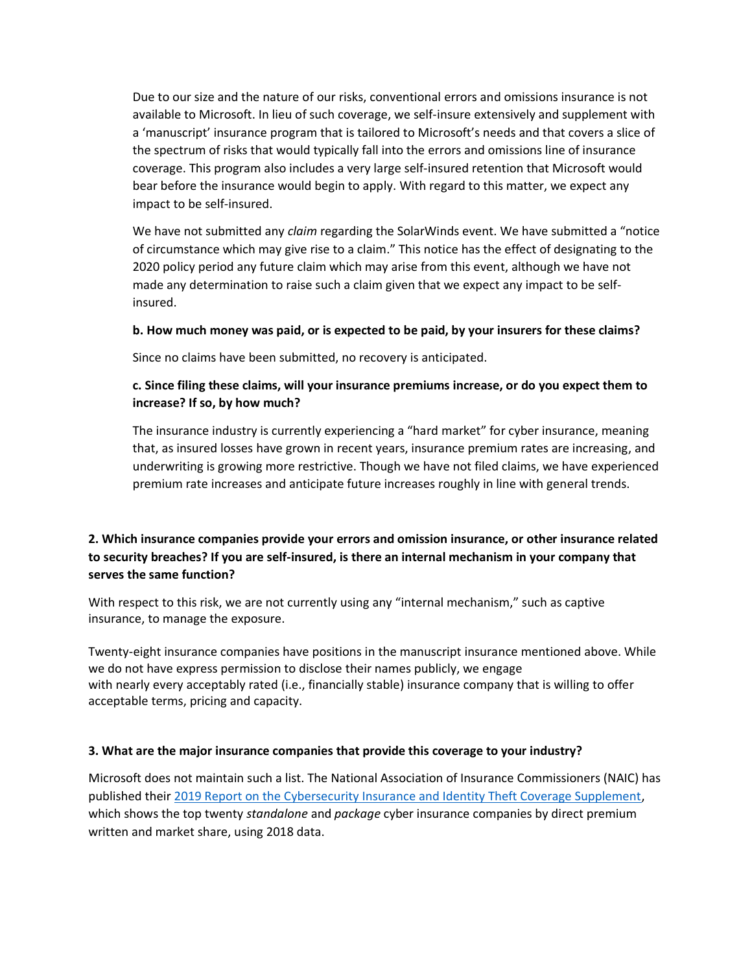Due to our size and the nature of our risks, conventional errors and omissions insurance is not available to Microsoft. In lieu of such coverage, we self-insure extensively and supplement with a 'manuscript' insurance program that is tailored to Microsoft's needs and that covers a slice of the spectrum of risks that would typically fall into the errors and omissions line of insurance coverage. This program also includes a very large self-insured retention that Microsoft would bear before the insurance would begin to apply. With regard to this matter, we expect any impact to be self-insured.

We have not submitted any *claim* regarding the SolarWinds event. We have submitted a "notice of circumstance which may give rise to a claim." This notice has the effect of designating to the 2020 policy period any future claim which may arise from this event, although we have not made any determination to raise such a claim given that we expect any impact to be selfinsured.

#### **b. How much money was paid, or is expected to be paid, by your insurers for these claims?**

Since no claims have been submitted, no recovery is anticipated.

#### **c. Since filing these claims, will your insurance premiums increase, or do you expect them to increase? If so, by how much?**

The insurance industry is currently experiencing a "hard market" for cyber insurance, meaning that, as insured losses have grown in recent years, insurance premium rates are increasing, and underwriting is growing more restrictive. Though we have not filed claims, we have experienced premium rate increases and anticipate future increases roughly in line with general trends.

#### **2. Which insurance companies provide your errors and omission insurance, or other insurance related to security breaches? If you are self-insured, is there an internal mechanism in your company that serves the same function?**

With respect to this risk, we are not currently using any "internal mechanism," such as captive insurance, to manage the exposure.

Twenty-eight insurance companies have positions in the manuscript insurance mentioned above. While we do not have express permission to disclose their names publicly, we engage with nearly every acceptably rated (i.e., financially stable) insurance company that is willing to offer acceptable terms, pricing and capacity.

#### **3. What are the major insurance companies that provide this coverage to your industry?**

Microsoft does not maintain such a list. The National Association of Insurance Commissioners (NAIC) has published their [2019 Report on the Cybersecurity Insurance and Identity Theft Coverage Supplement,](https://content.naic.org/sites/default/files/inline-files/Cyber_Supplement_2019_Report_Final%20%281%29.pdf) which shows the top twenty *standalone* and *package* cyber insurance companies by direct premium written and market share, using 2018 data.